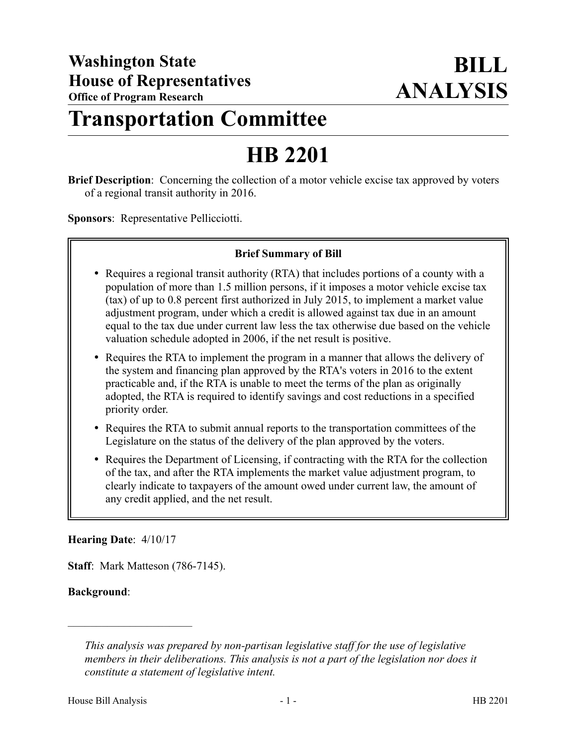# **Transportation Committee**

# **HB 2201**

**Brief Description**: Concerning the collection of a motor vehicle excise tax approved by voters of a regional transit authority in 2016.

**Sponsors**: Representative Pellicciotti.

# **Brief Summary of Bill**

- Requires a regional transit authority (RTA) that includes portions of a county with a population of more than 1.5 million persons, if it imposes a motor vehicle excise tax (tax) of up to 0.8 percent first authorized in July 2015, to implement a market value adjustment program, under which a credit is allowed against tax due in an amount equal to the tax due under current law less the tax otherwise due based on the vehicle valuation schedule adopted in 2006, if the net result is positive.
- Requires the RTA to implement the program in a manner that allows the delivery of the system and financing plan approved by the RTA's voters in 2016 to the extent practicable and, if the RTA is unable to meet the terms of the plan as originally adopted, the RTA is required to identify savings and cost reductions in a specified priority order.
- Requires the RTA to submit annual reports to the transportation committees of the Legislature on the status of the delivery of the plan approved by the voters.
- Requires the Department of Licensing, if contracting with the RTA for the collection of the tax, and after the RTA implements the market value adjustment program, to clearly indicate to taxpayers of the amount owed under current law, the amount of any credit applied, and the net result.

#### **Hearing Date**: 4/10/17

––––––––––––––––––––––

**Staff**: Mark Matteson (786-7145).

#### **Background**:

*This analysis was prepared by non-partisan legislative staff for the use of legislative members in their deliberations. This analysis is not a part of the legislation nor does it constitute a statement of legislative intent.*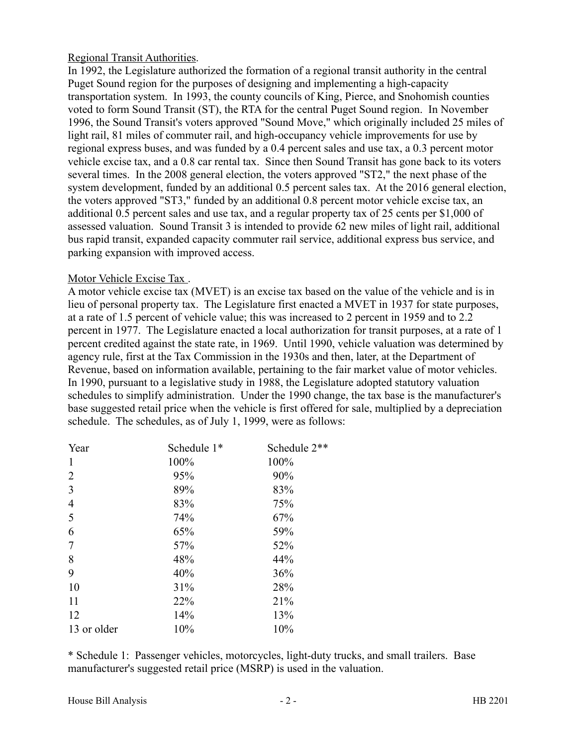# Regional Transit Authorities.

In 1992, the Legislature authorized the formation of a regional transit authority in the central Puget Sound region for the purposes of designing and implementing a high-capacity transportation system. In 1993, the county councils of King, Pierce, and Snohomish counties voted to form Sound Transit (ST), the RTA for the central Puget Sound region. In November 1996, the Sound Transit's voters approved "Sound Move," which originally included 25 miles of light rail, 81 miles of commuter rail, and high-occupancy vehicle improvements for use by regional express buses, and was funded by a 0.4 percent sales and use tax, a 0.3 percent motor vehicle excise tax, and a 0.8 car rental tax. Since then Sound Transit has gone back to its voters several times. In the 2008 general election, the voters approved "ST2," the next phase of the system development, funded by an additional 0.5 percent sales tax. At the 2016 general election, the voters approved "ST3," funded by an additional 0.8 percent motor vehicle excise tax, an additional 0.5 percent sales and use tax, and a regular property tax of 25 cents per \$1,000 of assessed valuation. Sound Transit 3 is intended to provide 62 new miles of light rail, additional bus rapid transit, expanded capacity commuter rail service, additional express bus service, and parking expansion with improved access.

# Motor Vehicle Excise Tax .

A motor vehicle excise tax (MVET) is an excise tax based on the value of the vehicle and is in lieu of personal property tax. The Legislature first enacted a MVET in 1937 for state purposes, at a rate of 1.5 percent of vehicle value; this was increased to 2 percent in 1959 and to 2.2 percent in 1977. The Legislature enacted a local authorization for transit purposes, at a rate of 1 percent credited against the state rate, in 1969. Until 1990, vehicle valuation was determined by agency rule, first at the Tax Commission in the 1930s and then, later, at the Department of Revenue, based on information available, pertaining to the fair market value of motor vehicles. In 1990, pursuant to a legislative study in 1988, the Legislature adopted statutory valuation schedules to simplify administration. Under the 1990 change, the tax base is the manufacturer's base suggested retail price when the vehicle is first offered for sale, multiplied by a depreciation schedule. The schedules, as of July 1, 1999, were as follows:

| Year           | Schedule 1* | Schedule 2** |
|----------------|-------------|--------------|
| 1              | 100%        | 100%         |
| 2              | 95%         | 90%          |
| 3              | 89%         | 83%          |
| $\overline{4}$ | 83%         | 75%          |
| 5              | 74%         | 67%          |
| 6              | 65%         | 59%          |
| 7              | 57%         | 52%          |
| 8              | 48%         | 44%          |
| 9              | 40%         | 36%          |
| 10             | 31%         | 28%          |
| 11             | 22%         | 21%          |
| 12             | 14%         | 13%          |
| 13 or older    | 10%         | 10%          |

\* Schedule 1: Passenger vehicles, motorcycles, light-duty trucks, and small trailers. Base manufacturer's suggested retail price (MSRP) is used in the valuation.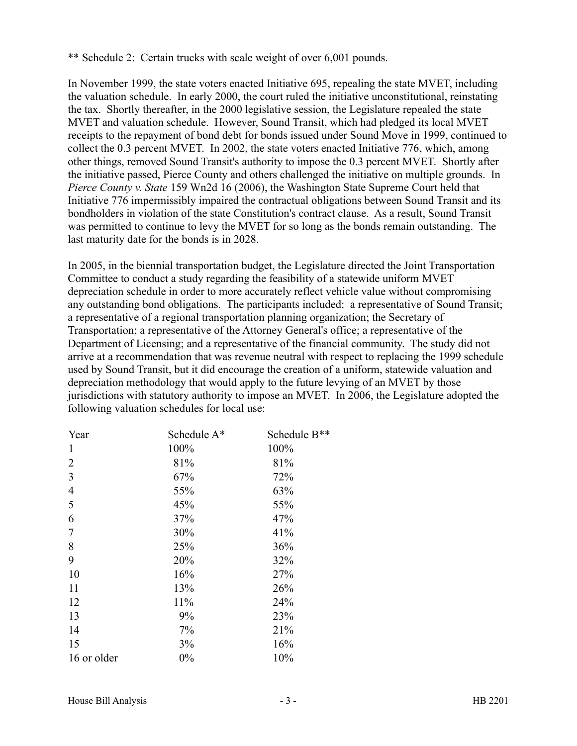\*\* Schedule 2: Certain trucks with scale weight of over 6,001 pounds.

In November 1999, the state voters enacted Initiative 695, repealing the state MVET, including the valuation schedule. In early 2000, the court ruled the initiative unconstitutional, reinstating the tax. Shortly thereafter, in the 2000 legislative session, the Legislature repealed the state MVET and valuation schedule. However, Sound Transit, which had pledged its local MVET receipts to the repayment of bond debt for bonds issued under Sound Move in 1999, continued to collect the 0.3 percent MVET. In 2002, the state voters enacted Initiative 776, which, among other things, removed Sound Transit's authority to impose the 0.3 percent MVET. Shortly after the initiative passed, Pierce County and others challenged the initiative on multiple grounds. In *Pierce County v. State* 159 Wn2d 16 (2006), the Washington State Supreme Court held that Initiative 776 impermissibly impaired the contractual obligations between Sound Transit and its bondholders in violation of the state Constitution's contract clause. As a result, Sound Transit was permitted to continue to levy the MVET for so long as the bonds remain outstanding. The last maturity date for the bonds is in 2028.

In 2005, in the biennial transportation budget, the Legislature directed the Joint Transportation Committee to conduct a study regarding the feasibility of a statewide uniform MVET depreciation schedule in order to more accurately reflect vehicle value without compromising any outstanding bond obligations. The participants included: a representative of Sound Transit; a representative of a regional transportation planning organization; the Secretary of Transportation; a representative of the Attorney General's office; a representative of the Department of Licensing; and a representative of the financial community. The study did not arrive at a recommendation that was revenue neutral with respect to replacing the 1999 schedule used by Sound Transit, but it did encourage the creation of a uniform, statewide valuation and depreciation methodology that would apply to the future levying of an MVET by those jurisdictions with statutory authority to impose an MVET. In 2006, the Legislature adopted the following valuation schedules for local use:

| Year           | Schedule A* | Schedule B** |
|----------------|-------------|--------------|
| 1              | 100%        | 100%         |
| $\overline{2}$ | 81%         | 81%          |
| 3              | 67%         | 72%          |
| $\overline{4}$ | 55%         | 63%          |
| 5              | 45%         | 55%          |
| 6              | 37%         | 47%          |
| 7              | 30%         | 41%          |
| 8              | 25%         | 36%          |
| 9              | 20%         | 32%          |
| 10             | 16%         | 27%          |
| 11             | 13%         | 26%          |
| 12             | 11%         | 24%          |
| 13             | 9%          | 23%          |
| 14             | 7%          | 21%          |
| 15             | 3%          | 16%          |
| 16 or older    | 0%          | 10%          |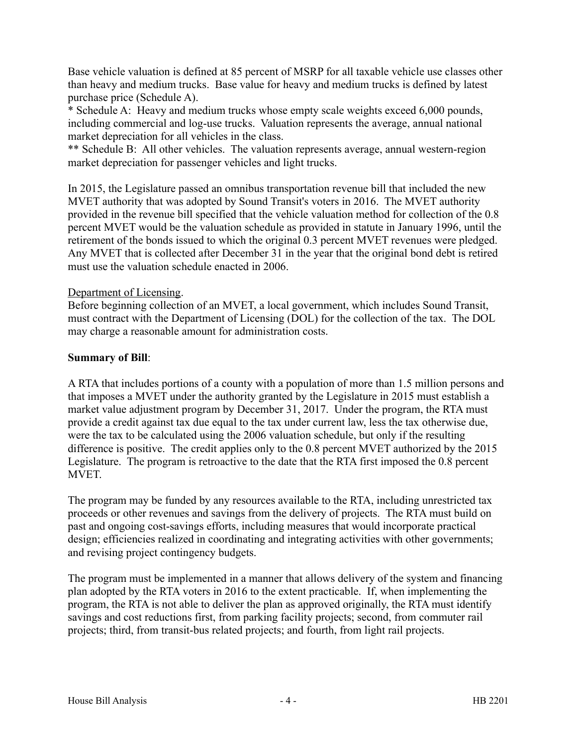Base vehicle valuation is defined at 85 percent of MSRP for all taxable vehicle use classes other than heavy and medium trucks. Base value for heavy and medium trucks is defined by latest purchase price (Schedule A).

\* Schedule A: Heavy and medium trucks whose empty scale weights exceed 6,000 pounds, including commercial and log-use trucks. Valuation represents the average, annual national market depreciation for all vehicles in the class.

\*\* Schedule B: All other vehicles. The valuation represents average, annual western-region market depreciation for passenger vehicles and light trucks.

In 2015, the Legislature passed an omnibus transportation revenue bill that included the new MVET authority that was adopted by Sound Transit's voters in 2016. The MVET authority provided in the revenue bill specified that the vehicle valuation method for collection of the 0.8 percent MVET would be the valuation schedule as provided in statute in January 1996, until the retirement of the bonds issued to which the original 0.3 percent MVET revenues were pledged. Any MVET that is collected after December 31 in the year that the original bond debt is retired must use the valuation schedule enacted in 2006.

# Department of Licensing.

Before beginning collection of an MVET, a local government, which includes Sound Transit, must contract with the Department of Licensing (DOL) for the collection of the tax. The DOL may charge a reasonable amount for administration costs.

# **Summary of Bill**:

A RTA that includes portions of a county with a population of more than 1.5 million persons and that imposes a MVET under the authority granted by the Legislature in 2015 must establish a market value adjustment program by December 31, 2017. Under the program, the RTA must provide a credit against tax due equal to the tax under current law, less the tax otherwise due, were the tax to be calculated using the 2006 valuation schedule, but only if the resulting difference is positive. The credit applies only to the 0.8 percent MVET authorized by the 2015 Legislature. The program is retroactive to the date that the RTA first imposed the 0.8 percent MVET.

The program may be funded by any resources available to the RTA, including unrestricted tax proceeds or other revenues and savings from the delivery of projects. The RTA must build on past and ongoing cost-savings efforts, including measures that would incorporate practical design; efficiencies realized in coordinating and integrating activities with other governments; and revising project contingency budgets.

The program must be implemented in a manner that allows delivery of the system and financing plan adopted by the RTA voters in 2016 to the extent practicable. If, when implementing the program, the RTA is not able to deliver the plan as approved originally, the RTA must identify savings and cost reductions first, from parking facility projects; second, from commuter rail projects; third, from transit-bus related projects; and fourth, from light rail projects.